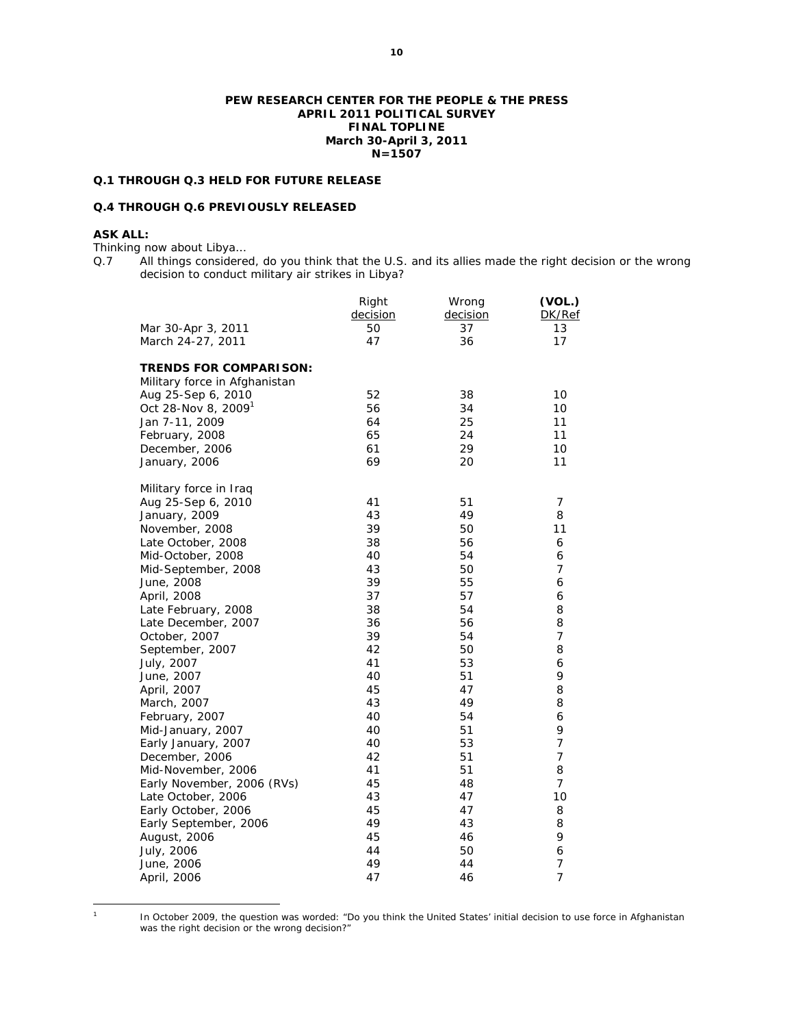#### **PEW RESEARCH CENTER FOR THE PEOPLE & THE PRESS APRIL 2011 POLITICAL SURVEY FINAL TOPLINE March 30-April 3, 2011 N=1507**

## **Q.1 THROUGH Q.3 HELD FOR FUTURE RELEASE**

# **Q.4 THROUGH Q.6 PREVIOUSLY RELEASED**

# **ASK ALL:**

Thinking now about Libya…

Q.7 All things considered, do you think that the U.S. and its allies made the right decision or the wrong decision to conduct military air strikes in Libya?

| 50 | 37 |                |
|----|----|----------------|
|    |    | 13             |
|    | 36 | 17             |
|    |    |                |
|    |    |                |
| 52 | 38 | 10             |
| 56 | 34 | 10             |
| 64 | 25 | 11             |
| 65 | 24 | 11             |
| 61 | 29 | 10             |
| 69 | 20 | 11             |
|    |    |                |
| 41 | 51 | 7              |
| 43 | 49 | 8              |
| 39 | 50 | 11             |
| 38 | 56 | 6              |
| 40 | 54 | 6              |
| 43 | 50 | $\overline{7}$ |
| 39 | 55 | 6              |
| 37 | 57 | 6              |
| 38 | 54 | 8              |
| 36 | 56 | 8              |
| 39 | 54 | $\overline{7}$ |
| 42 | 50 | 8              |
| 41 | 53 | 6              |
| 40 | 51 | 9              |
| 45 | 47 | 8              |
| 43 | 49 | 8              |
| 40 | 54 | 6              |
| 40 | 51 | 9              |
| 40 | 53 | $\overline{7}$ |
| 42 | 51 | $\overline{7}$ |
| 41 | 51 | 8              |
| 45 | 48 | $\overline{7}$ |
| 43 | 47 | 10             |
| 45 | 47 | 8              |
| 49 | 43 | 8              |
| 45 | 46 | 9              |
| 44 | 50 | 6              |
| 49 | 44 | $\overline{7}$ |
| 47 | 46 | $\overline{7}$ |
|    | 47 |                |

 $\overline{a}$ 1

 In October 2009, the question was worded: "Do you think the United States' initial decision to use force in Afghanistan was the right decision or the wrong decision?"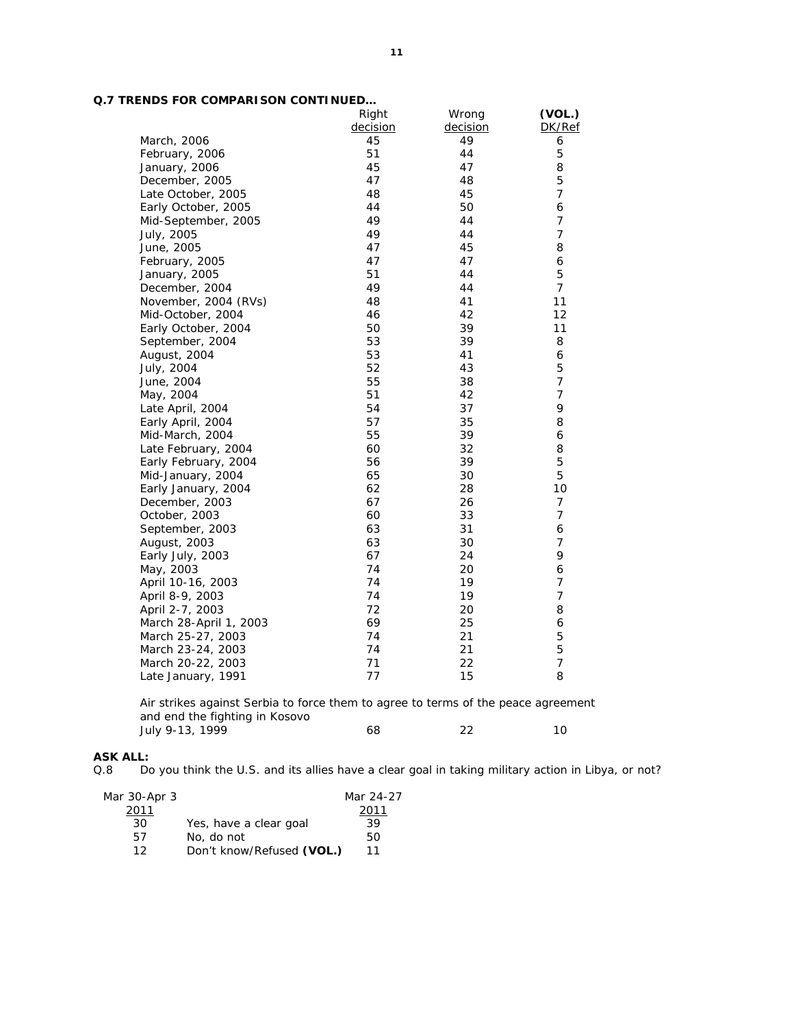|                        | Right    | Wrong    | (VOL.)         |
|------------------------|----------|----------|----------------|
|                        | decision | decision | DK/Ref         |
| March, 2006            | 45       | 49       | 6              |
| February, 2006         | 51       | 44       | 5              |
| January, 2006          | 45       | 47       | 8              |
| December, 2005         | 47       | 48       | 5              |
| Late October, 2005     | 48       | 45       | $\overline{7}$ |
| Early October, 2005    | 44       | 50       | 6              |
| Mid-September, 2005    | 49       | 44       | $\overline{7}$ |
| July, 2005             | 49       | 44       | $\overline{7}$ |
| June, 2005             | 47       | 45       | 8              |
| February, 2005         | 47       | 47       | 6              |
| January, 2005          | 51       | 44       | 5              |
| December, 2004         | 49       | 44       | $\overline{7}$ |
| November, 2004 (RVs)   | 48       | 41       | 11             |
| Mid-October, 2004      | 46       | 42       | 12             |
| Early October, 2004    | 50       | 39       | 11             |
| September, 2004        | 53       | 39       | 8              |
| August, 2004           | 53       | 41       | 6              |
| July, 2004             | 52       | 43       | 5              |
| June, 2004             | 55       | 38       | $\overline{7}$ |
| May, 2004              | 51       | 42       | $\overline{7}$ |
| Late April, 2004       | 54       | 37       | 9              |
| Early April, 2004      | 57       | 35       | 8              |
| Mid-March, 2004        | 55       | 39       | 6              |
| Late February, 2004    | 60       | 32       | 8              |
| Early February, 2004   | 56       | 39       | 5              |
| Mid-January, 2004      | 65       | 30       | 5              |
| Early January, 2004    | 62       | 28       | 10             |
| December, 2003         | 67       | 26       | $\overline{7}$ |
| October, 2003          | 60       | 33       | $\overline{7}$ |
| September, 2003        | 63       | 31       | 6              |
| August, 2003           | 63       | 30       | $\overline{7}$ |
| Early July, 2003       | 67       | 24       | 9              |
| May, 2003              | 74       | 20       | 6              |
| April 10-16, 2003      | 74       | 19       | 7              |
| April 8-9, 2003        | 74       | 19       | $\overline{7}$ |
| April 2-7, 2003        | 72       | 20       | 8              |
| March 28-April 1, 2003 | 69       | 25       | 6              |
| March 25-27, 2003      | 74       | 21       | 5              |
| March 23-24, 2003      | 74       | 21       | 5              |
| March 20-22, 2003      | 71       | 22       | $\overline{7}$ |
| Late January, 1991     | 77       | 15       | 8              |
|                        |          |          |                |

*Air strikes against Serbia to force them to agree to terms of the peace agreement and end the fighting in Kosovo*  July 9-13, 1999 **68** 22 10

# **ASK ALL:**

Do you think the U.S. and its allies have a clear goal in taking military action in Libya, or not?

| Mar 30-Apr 3 |                           | Mar 24-27 |
|--------------|---------------------------|-----------|
| 2011         |                           | 2011      |
| 30           | Yes, have a clear goal    | 39        |
| 57           | No, do not                | 50        |
| 1 2          | Don't know/Refused (VOL.) | 11        |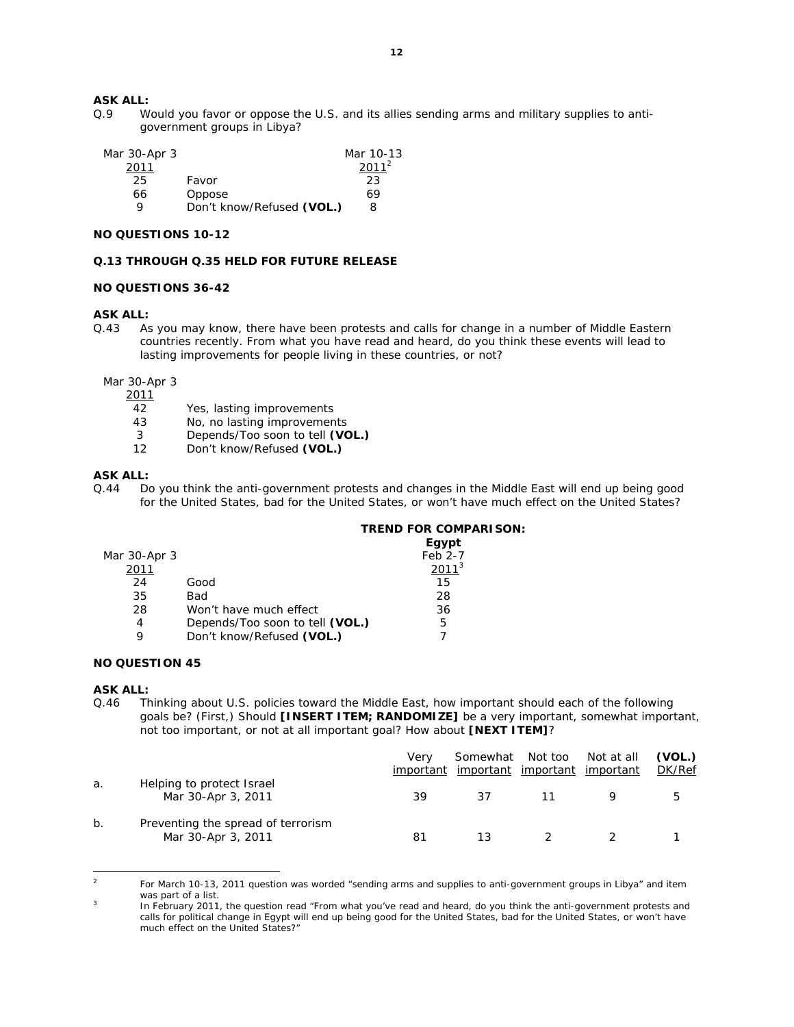# **ASK ALL:**

Q.9 Would you favor or oppose the U.S. and its allies sending arms and military supplies to antigovernment groups in Libya?

| Mar 30-Apr 3 |                           | Mar 10-13         |
|--------------|---------------------------|-------------------|
| 2011         |                           | 2011 <sup>2</sup> |
| 25           | Favor                     | 23                |
| 66           | Oppose                    | 69                |
|              | Don't know/Refused (VOL.) | 8                 |

## **NO QUESTIONS 10-12**

#### **Q.13 THROUGH Q.35 HELD FOR FUTURE RELEASE**

#### **NO QUESTIONS 36-42**

## **ASK ALL:**

Q.43 As you may know, there have been protests and calls for change in a number of Middle Eastern countries recently. From what you have read and heard, do you think these events will lead to lasting improvements for people living in these countries, or not?

Mar 30-Apr 3

2011

- 42 Yes, lasting improvements<br>43 No. no lasting improvement
- No, no lasting improvements
- 3 Depends/Too soon to tell **(VOL.)**
- 12 Don't know/Refused **(VOL.)**

## **ASK ALL:**

Q.44 Do you think the anti-government protests and changes in the Middle East will end up being good for the United States, bad for the United States, or won't have much effect on the United States?

## **TREND FOR COMPARISON:**

|              |                                 | Egypt    |
|--------------|---------------------------------|----------|
| Mar 30-Apr 3 |                                 | Feb 2-7  |
| 2011         |                                 | $2011^3$ |
| 24           | Good                            | 15       |
| 35           | Bad                             | 28       |
| 28           | Won't have much effect          | 36       |
| 4            | Depends/Too soon to tell (VOL.) | 5        |
| Q            | Don't know/Refused (VOL.)       |          |

# **NO QUESTION 45**

#### **ASK ALL:**

Q.46 Thinking about U.S. policies toward the Middle East, how important should each of the following goals be? (First,) Should **[INSERT ITEM; RANDOMIZE]** be a very important, somewhat important, not too important, or not at all important goal? How about **[NEXT ITEM]**?

|    |                                                          | Verv<br>important | Somewhat Not too<br><u>important</u> | <u>important</u> | Not at all<br>important | (VOL.)<br>DK/Ref |
|----|----------------------------------------------------------|-------------------|--------------------------------------|------------------|-------------------------|------------------|
| a. | Helping to protect Israel<br>Mar 30-Apr 3, 2011          | 39                | 37                                   |                  |                         | 5                |
| b. | Preventing the spread of terrorism<br>Mar 30-Apr 3, 2011 | 81                | 13                                   |                  |                         |                  |

 $\frac{1}{2}$  For March 10-13, 2011 question was worded "sending arms and supplies to anti-government groups in Libya" and item was part of a list.

In February 2011, the question read "From what you've read and heard, do you think the anti-government protests and calls for political change in Egypt will end up being good for the United States, bad for the United States, or won't have much effect on the United States?"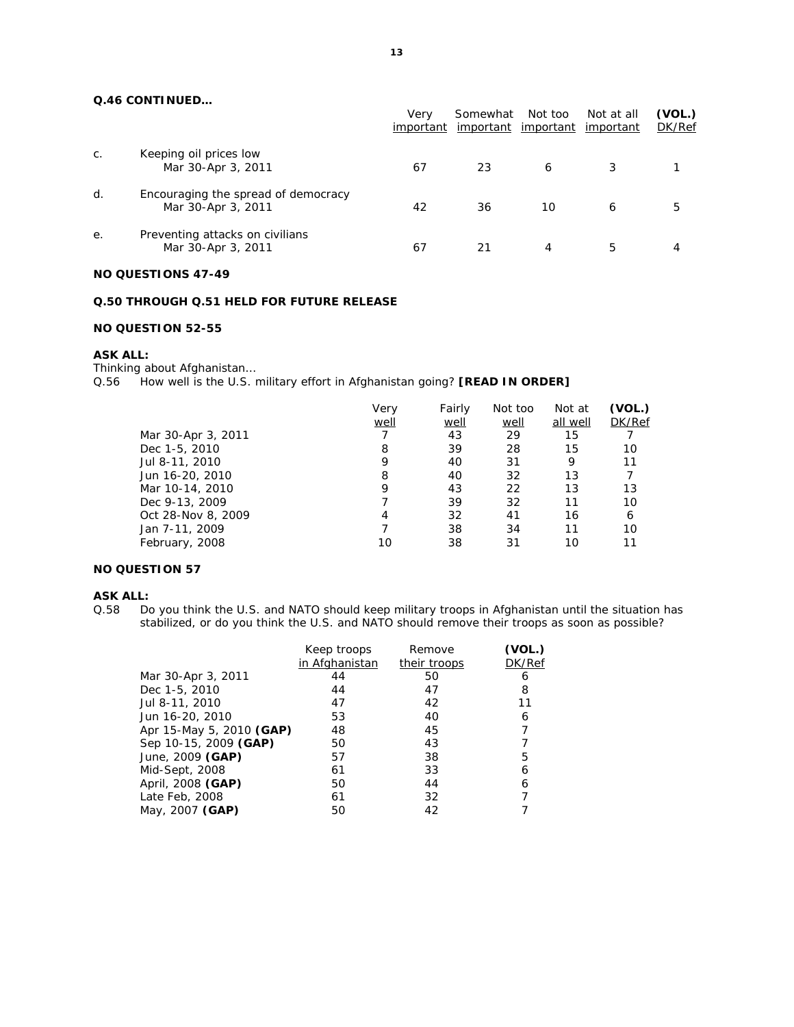# **Q.46 CONTINUED…**

|    |                                                           | Verv<br>important | Somewhat<br><u>important</u> | Not too<br>important | Not at all<br>important | (VOL.)<br>DK/Ref |
|----|-----------------------------------------------------------|-------------------|------------------------------|----------------------|-------------------------|------------------|
| C. | Keeping oil prices low<br>Mar 30-Apr 3, 2011              | 67                | 23                           | 6                    |                         |                  |
| d. | Encouraging the spread of democracy<br>Mar 30-Apr 3, 2011 | 42                | 36                           | 10                   | 6                       | 5                |
| е. | Preventing attacks on civilians<br>Mar 30-Apr 3, 2011     | 67                | 21                           | 4                    | 5.                      | 4                |

# **NO QUESTIONS 47-49**

# **Q.50 THROUGH Q.51 HELD FOR FUTURE RELEASE**

# **NO QUESTION 52-55**

#### **ASK ALL:**

Thinking about Afghanistan… Q.56 How well is the U.S. military effort in Afghanistan going? **[READ IN ORDER]**

| Mar 30-Apr 3, 2011<br>Dec 1-5, 2010<br>Jul 8-11, 2010<br>Jun 16-20, 2010 | Very<br>well<br>8<br>9<br>8 | Fairly<br>well<br>43<br>39<br>40<br>40 | Not too<br>well<br>29<br>28<br>31<br>32 | Not at<br>all well<br>15<br>15<br>9<br>13 | (VOL.)<br>DK/Ref<br>10<br>11 |
|--------------------------------------------------------------------------|-----------------------------|----------------------------------------|-----------------------------------------|-------------------------------------------|------------------------------|
| Dec 9-13, 2009                                                           | 4                           | 39                                     | 32                                      | 11                                        | 10                           |
| Oct 28-Nov 8, 2009                                                       |                             | 32                                     | 41                                      | 16                                        | 6                            |
| Jan 7-11, 2009                                                           | 10                          | 38                                     | 34                                      | 11                                        | 10                           |
| February, 2008                                                           |                             | 38                                     | 31                                      | 10                                        | 11                           |

### **NO QUESTION 57**

#### **ASK ALL:**

Q.58 Do you think the U.S. and NATO should keep military troops in Afghanistan until the situation has stabilized, or do you think the U.S. and NATO should remove their troops as soon as possible?

|                          | Keep troops    | Remove       | (VOL.) |
|--------------------------|----------------|--------------|--------|
|                          | in Afghanistan | their troops | DK/Ref |
| Mar 30-Apr 3, 2011       | 44             | 50           | 6      |
| Dec 1-5, 2010            | 44             | 47           | 8      |
| Jul 8-11, 2010           | 47             | 42           | 11     |
| Jun 16-20, 2010          | 53             | 40           | 6      |
| Apr 15-May 5, 2010 (GAP) | 48             | 45           |        |
| Sep 10-15, 2009 (GAP)    | 50             | 43           |        |
| June, 2009 (GAP)         | 57             | 38           | 5      |
| Mid-Sept, 2008           | 61             | 33           | 6      |
| April, 2008 (GAP)        | 50             | 44           | 6      |
| Late Feb, 2008           | 61             | 32           |        |
| May, 2007 (GAP)          | 50             | 42           |        |
|                          |                |              |        |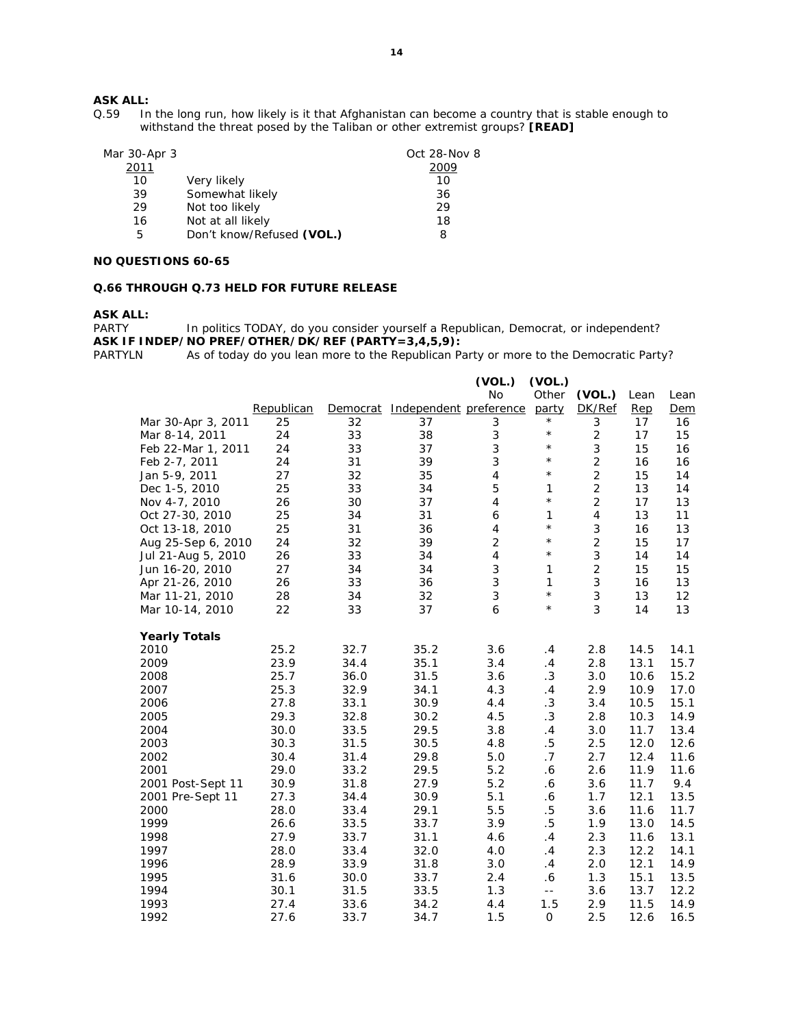In the long run, how likely is it that Afghanistan can become a country that is stable enough to withstand the threat posed by the Taliban or other extremist groups? **[READ]**

| Mar 30-Apr 3 |                           | Oct 28-Nov 8 |
|--------------|---------------------------|--------------|
| 2011         |                           | 2009         |
| 10           | Very likely               | 10           |
| 39           | Somewhat likely           | 36           |
| 29           | Not too likely            | 29           |
| 16           | Not at all likely         | 18           |
| 5            | Don't know/Refused (VOL.) | 8            |

#### **NO QUESTIONS 60-65**

## **Q.66 THROUGH Q.73 HELD FOR FUTURE RELEASE**

**ASK ALL:** 

PARTY In politics TODAY, do you consider yourself a Republican, Democrat, or independent? **ASK IF INDEP/NO PREF/OTHER/DK/REF (PARTY=3,4,5,9):** 

PARTYLN As of today do you lean more to the Republican Party or more to the Democratic Party?

|                      |            |          |                        | (VOL.)         | (VOL.)                   |                |      |            |
|----------------------|------------|----------|------------------------|----------------|--------------------------|----------------|------|------------|
|                      |            |          |                        | No             | Other                    | (VOL.)         | Lean | Lean       |
|                      | Republican | Democrat | Independent preference |                | party                    | DK/Ref         | Rep  | <u>Dem</u> |
| Mar 30-Apr 3, 2011   | 25         | 32       | 37                     | 3              | $^{\star}$               | 3              | 17   | 16         |
| Mar 8-14, 2011       | 24         | 33       | 38                     | 3              | $\star$                  | $\overline{2}$ | 17   | 15         |
| Feb 22-Mar 1, 2011   | 24         | 33       | 37                     | 3              | $\star$                  | 3              | 15   | 16         |
| Feb 2-7, 2011        | 24         | 31       | 39                     | 3              | $\star$                  | $\overline{c}$ | 16   | 16         |
| Jan 5-9, 2011        | 27         | 32       | 35                     | 4              | $\star$                  | $\overline{2}$ | 15   | 14         |
| Dec 1-5, 2010        | 25         | 33       | 34                     | 5              | 1                        | $\overline{c}$ | 13   | 14         |
| Nov 4-7, 2010        | 26         | 30       | 37                     | 4              | $\star$                  | $\overline{2}$ | 17   | 13         |
| Oct 27-30, 2010      | 25         | 34       | 31                     | 6              | 1                        | $\overline{4}$ | 13   | 11         |
| Oct 13-18, 2010      | 25         | 31       | 36                     | 4              | $^{\star}$               | 3              | 16   | 13         |
| Aug 25-Sep 6, 2010   | 24         | 32       | 39                     | $\overline{c}$ | $\star$                  | $\overline{2}$ | 15   | 17         |
| Jul 21-Aug 5, 2010   | 26         | 33       | 34                     | 4              | $\star$                  | 3              | 14   | 14         |
| Jun 16-20, 2010      | 27         | 34       | 34                     | 3              | 1                        | $\overline{c}$ | 15   | 15         |
| Apr 21-26, 2010      | 26         | 33       | 36                     | 3              | 1                        | 3              | 16   | 13         |
| Mar 11-21, 2010      | 28         | 34       | 32                     | 3              | $\star$                  | 3              | 13   | 12         |
| Mar 10-14, 2010      | 22         | 33       | 37                     | 6              | $^{\star}$               | 3              | 14   | 13         |
| <b>Yearly Totals</b> |            |          |                        |                |                          |                |      |            |
| 2010                 | 25.2       | 32.7     | 35.2                   | 3.6            | .4                       | 2.8            | 14.5 | 14.1       |
| 2009                 | 23.9       | 34.4     | 35.1                   | 3.4            | .4                       | 2.8            | 13.1 | 15.7       |
| 2008                 | 25.7       | 36.0     | 31.5                   | 3.6            | $\cdot$ 3                | 3.0            | 10.6 | 15.2       |
| 2007                 | 25.3       | 32.9     | 34.1                   | 4.3            | .4                       | 2.9            | 10.9 | 17.0       |
| 2006                 | 27.8       | 33.1     | 30.9                   | 4.4            | $\cdot 3$                | 3.4            | 10.5 | 15.1       |
| 2005                 | 29.3       | 32.8     | 30.2                   | 4.5            | .3                       | 2.8            | 10.3 | 14.9       |
| 2004                 | 30.0       | 33.5     | 29.5                   | 3.8            | .4                       | 3.0            | 11.7 | 13.4       |
| 2003                 | 30.3       | 31.5     | 30.5                   | 4.8            | $.5\,$                   | 2.5            | 12.0 | 12.6       |
| 2002                 | 30.4       | 31.4     | 29.8                   | 5.0            | .7                       | 2.7            | 12.4 | 11.6       |
| 2001                 | 29.0       | 33.2     | 29.5                   | 5.2            | 6.6                      | 2.6            | 11.9 | 11.6       |
| 2001 Post-Sept 11    | 30.9       | 31.8     | 27.9                   | 5.2            | $.6\,$                   | 3.6            | 11.7 | 9.4        |
| 2001 Pre-Sept 11     | 27.3       | 34.4     | 30.9                   | 5.1            | $\boldsymbol{\delta}$    | 1.7            | 12.1 | 13.5       |
| 2000                 | 28.0       | 33.4     | 29.1                   | 5.5            | $.5\,$                   | 3.6            | 11.6 | 11.7       |
| 1999                 | 26.6       | 33.5     | 33.7                   | 3.9            | $.5\,$                   | 1.9            | 13.0 | 14.5       |
| 1998                 | 27.9       | 33.7     | 31.1                   | 4.6            | .4                       | 2.3            | 11.6 | 13.1       |
| 1997                 | 28.0       | 33.4     | 32.0                   | 4.0            | .4                       | 2.3            | 12.2 | 14.1       |
| 1996                 | 28.9       | 33.9     | 31.8                   | 3.0            | .4                       | 2.0            | 12.1 | 14.9       |
| 1995                 | 31.6       | 30.0     | 33.7                   | 2.4            | 6.6                      | 1.3            | 15.1 | 13.5       |
| 1994                 | 30.1       | 31.5     | 33.5                   | 1.3            | $\overline{\phantom{a}}$ | 3.6            | 13.7 | 12.2       |
| 1993                 | 27.4       | 33.6     | 34.2                   | 4.4            | 1.5                      | 2.9            | 11.5 | 14.9       |
| 1992                 | 27.6       | 33.7     | 34.7                   | 1.5            | $\mathsf O$              | 2.5            | 12.6 | 16.5       |
|                      |            |          |                        |                |                          |                |      |            |